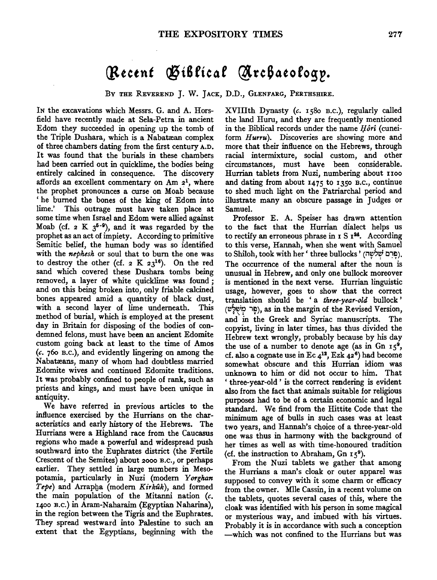## *(}ttetnt* **®iSfieaf** ~re6atofog~.

BY THE REVEREND J. W. JACK, D.D., GLENFARG, PERTHSHIRE.

IN the excavations which Messrs. G. and A. Horsfield have recently made at Sela-Petra in ancient Edom they succeeded in opening up the tomb of the Triple Dushara, which is a Nabatæan complex of three chambers dating from the first century A.D. It was found that the burials in these chambers had been carried out in quicklime, the bodies being entirely calcined in consequence. The discovery affords an excellent commentary on Am  $2<sup>1</sup>$ , where the prophet pronounces a curse on Moab because ' he burned the bones of the king of Edom into lime.' This outrage must have taken place at some time when Israel and Edom were allied against Moab (cf. 2 K  $3^{5-9}$ ), and it was regarded by the prophet as an act of impiety. According to primitive Semitic belief, the human body was so identified with the *nephesh* or soul that to burn the one was to destroy the other (cf.  $2 K 23^{16}$ ). On the red sand which covered these Dushara tombs being removed, a layer of white quicklime was found ; and on this being broken into, only friable calcined bones appeared amid a quantity of black dust, with a second layer of lime underneath. This method of burial, which is employed at the present day in Britain for disposing of the bodies of condemned felons, must have been an ancient Edomite custom going back at least to the time of Amos *(c.* 76o B.c.), and evidently lingering on among the Nabatreans, many of whom had doubtless married Edomite wives and continued Edomite traditions. It was probably confined to people of rank, such as priests and kings, and must have been unique in antiquity.

We have referred in previous articles to the influence exercised by the Hurrians on the characteristics and early history of the Hebrews. The Hurrians were a Highland race from the Caucasus regions who made a powerful and widespread push southward into the Euphrates district (the Fertile Crescent of the Semites) about 2ooo B.c., or perhaps earlier. They settled in large numbers in Mesopotamia, particularly in Nuzi (modern Yorghan *Tepe*) and Arrapha (modern *Kirkuk*), and formed the main population of the Mitanni nation *(c.*  1400 B.c.) in Aram-Naharaim (Egyptian Naharina), in the region between the Tigris and the Euphrates. They spread westward into Palestine to such an extent that the Egyptians, beginning with the

XVIIIth Dynasty *(c.* 158o B.c.), regularly called the land Huru, and they are frequently mentioned in the Biblical records under the name *Hôrî* (cuneiform *Hurru*). Discoveries are showing more and more that their influence on the Hebrews, through racial intermixture, social custom, and other circumstances, must have been considerable. Hurrian tablets from Nuzi, numbering about IIoo and dating from about 1475 to 1350 B.c., continue to shed much light on the Patriarchal period and illustrate many an obscure passage in Judges or Samuel.

Professor E. A. Speiser has drawn attention to the fact that the Hurrian dialect helps us to rectify an erroneous phrase in  $I S I<sup>24</sup>$ . According to this verse, Hannah, when she went with Samuel to Shiloh, took with her ' three bullocks ' (פרם שלשה). The occurrence of the numeral after the noun is unusual in Hebrew, and only one bullock moreover is mentioned in the next verse. Hurrian linguistic usage, however, goes to show that the correct translation should be ' a *three-year-old* bullock ' (~?~'? 1~), as in the margin of the Revised Version, and· in the Greek and Syriac manuscripts. The copyist, living in later times, has thus divided the Hebrew text wrongly, probably because by his day the use of a number to denote age (as in Gn  $15^9$ , cf. also a cognate use in Ec  $4^{12}$ , Ezk  $42^6$ ) had become somewhat obscure and this Hurrian idiom was unknown to him or did not occur to him. That ' three-year-old ' is the correct rendering is evident also from the fact that animals suitable for religious purposes had to be of a certain economic and legal standard. We find from the Hittite Code that the minimum age of bulls in such cases was at least two years, and Hannah's choice of a three-year-old one was thus in harmony with the background of her times as well as with time-honoured tradition (cf. the instruction to Abraham,  $Gn 15^9$ ).

From the Nuzi tablets we gather that among the Hurrians a man's cloak or outer apparel was supposed to convey with it some charm or efficacy from the owner. Mlle Cassin, in a recent volume on the tablets, quotes several cases of this, where the cloak was identified with his person in some magical or mysterious way, and imbued with his virtues. Probably it is in accordance with such a conception -which was not confined to the Hurrians but was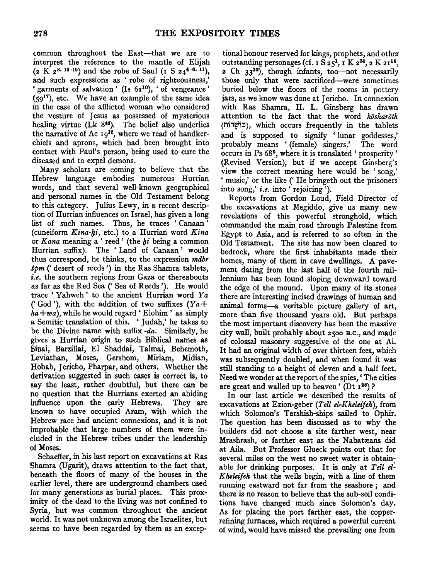common throughout the East-that we are to interpret the reference to the mantle of Elijah  $(z \text{ K } z^{8.13 \cdot 15})$  and the robe of Saul (r S  $z4^{4.6 \cdot 11}$ ), and such expressions as 'robe of righteousness,' garments of salvation ' (Is  $6r^{10}$ ), ' of vengeance '  $(59<sup>17</sup>)$ , etc. We have an example of the same idea in the case of the afflicted woman who considered the vesture of Jesus as possessed of mysterious healing virtue ( $\tilde{L}k$  8<sup>44</sup>). The belief also underlies the narrative of Ac 19<sup>12</sup>, where we read of handkerchiefs and aprons, which had been brought into contact with Paul's person, being used to cure the diseased and to expel demons.

Many scholars are coming to believe that the Hebrew language embodies numerous Hurrian words, and that several well-known geographical and personal names in the Old Testament belong to this category. Julius Lewy, in a recent description of Hurrian influences on Israel, has given a long list of such names. Thus, he traces ' Canaan ' (cuneiform *Kina-hi*, etc.) to a Hurrian word *Kina* or *Kana* meaning a' reed' (the */;i* being a common Hurrian suffix). The 'Land of Canaan' would thus correspond, he thinks, to the expression *mdbr*   $spm$  (' desert of reeds') in the Ras Shamra tablets, *i.e.* the southern regions from Gaza or thereabouts as far as the Red Sea (' Sea of Reeds '). He would trace ' Yahweh ' to the ancient Hurrian word *Y a*  ('God'), with the addition of two suffixes *(Ya+*   $ha+wa$ , while he would regard 'Elohim' as simply a Semitic translation of this. 'Judah,' he takes to be the Divine name with suffix  $-da$ . Similarly, he gives a Hurrian origin to such Biblical names as Sinai, Barzillai, El Shaddai, Talmai, Behemoth, Leviathan, Moses, Gershom, Miriam, Midian, Hobab, Jericho, Pharpar, and others. Whether the derivation suggested in such cases is correct is, to say the least, rather doubtful, but there can be no question that the Hurrians exerted an abiding influence upon the early Hebrews. They are known to have occupied Aram, with which the Hebrew race had ancient connexions, and it is not improbable that large numbers of them were included in the Hebrew tribes under the leadership of Moses.

Schaeffer, in his last report on excavations at Ras Shamra (Ugarit), draws attention to the fact that, beneath the floors of many of the houses in the earlier level, there are underground chambers used for many generations as burial places. This proximity of the dead to the living was not confined to Syria, but was common throughout the ancient world. It was not unknown among the Israelites, but seems to have been regarded by them as an excep-

tional honour reserved for kings, prophets, and other outstanding personages (cf. 1  $S$  25<sup>1</sup>, 1 K 2<sup>34</sup>, 2 K 21<sup>18</sup>, 2 Ch 33<sup>20</sup>), though infants, too-not necessarily those only that were sacrificed-were sometimes buried below the floors of the rooms in pottery jars, as we know was done at Jericho. In connexion with Ras Shamra, H. L. Ginsberg has drawn attention to the fact that the word *kosharoth*  (Mi1~Z1), which occurs frequently in the tablets and is supposed to signify ' lunar goddesses,' probably means '{female) singers.' The word occurs in Ps 686, where it is translated 'prosperity' (Revised Version), but if we accept Ginsberg's view the correct meaning here would be ' song,' ' music,' or the like (' He bringeth out the prisoners into song,' *i.e.* into ' rejoicing').

Reports from Gordon Loud, Field Director of the excavations at Megiddo, give us many new revelations of this powerful stronghold, which commanded the main road through Palestine from Egypt to Asia, and is referred to so often in the Old Testament. The site has now been cleared to bedrock, where the first inhabitants made their homes, many of them in cave dwellings. A pavement dating from the last half of the fourth millennium has been found sloping downward toward the edge of the mound. Upon many of its stones there are interesting incised drawings of human and animal forms-a veritable picture gallery of art, more than five thousand years old. But perhaps the most important discovery has been the massive city wall, built probably about 2500 B.c., and made of colossal masonry suggestive of the one at Ai. It had an original width of over thirteen feet, which was subsequently doubled, and when found it was still standing to a height of eleven and a half feet. Need we wonder at the report of the spies,' The cities are great and walled up to heaven' (Dt  $x^{28}$ )?

In our last article we described the results of excavations at Ezion-geber *(TeU el-Kheleijeh),* from which Solomon's Tarshish-ships sailed to Ophir. The question has been discussed as to why the builders did not choose a site farther west, near Mrashrash, or farther east as the Nabatæans did at Aila. But Professor Glueck points out that for several miles on the west no sweet water is obtainable for drinking purposes. It is only at *TeU el: Kheleijeh* that the wells begin, with a line of them running eastward not far from the seashore ; and there is no reason to believe that the sub-soil conditions have changed much since Solomon's day. As for placing the port farther east, the copperrefining furnaces, which required a powerful current of wind, would have missed the prevailing one from